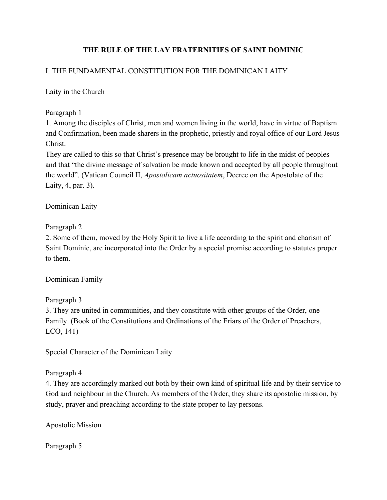# **THE RULE OF THE LAY FRATERNITIES OF SAINT DOMINIC**

## I. THE FUNDAMENTAL CONSTITUTION FOR THE DOMINICAN LAITY

Laity in the Church

Paragraph 1

1. Among the disciples of Christ, men and women living in the world, have in virtue of Baptism and Confirmation, been made sharers in the prophetic, priestly and royal office of our Lord Jesus Christ.

They are called to this so that Christ's presence may be brought to life in the midst of peoples and that "the divine message of salvation be made known and accepted by all people throughout the world". (Vatican Council II, *Apostolicam actuositatem*, Decree on the Apostolate of the Laity, 4, par. 3).

Dominican Laity

Paragraph 2

2. Some of them, moved by the Holy Spirit to live a life according to the spirit and charism of Saint Dominic, are incorporated into the Order by a special promise according to statutes proper to them.

Dominican Family

Paragraph 3 3. They are united in communities, and they constitute with other groups of the Order, one Family. (Book of the Constitutions and Ordinations of the Friars of the Order of Preachers, LCO, 141)

Special Character of the Dominican Laity

Paragraph 4

4. They are accordingly marked out both by their own kind of spiritual life and by their service to God and neighbour in the Church. As members of the Order, they share its apostolic mission, by study, prayer and preaching according to the state proper to lay persons.

Apostolic Mission

Paragraph 5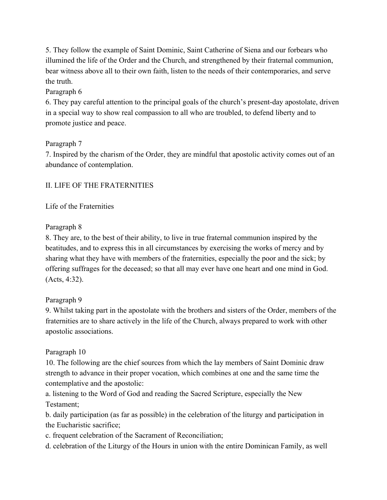5. They follow the example of Saint Dominic, Saint Catherine of Siena and our forbears who illumined the life of the Order and the Church, and strengthened by their fraternal communion, bear witness above all to their own faith, listen to the needs of their contemporaries, and serve the truth.

# Paragraph 6

6. They pay careful attention to the principal goals of the church's present-day apostolate, driven in a special way to show real compassion to all who are troubled, to defend liberty and to promote justice and peace.

## Paragraph 7

7. Inspired by the charism of the Order, they are mindful that apostolic activity comes out of an abundance of contemplation.

# II. LIFE OF THE FRATERNITIES

# Life of the Fraternities

## Paragraph 8

8. They are, to the best of their ability, to live in true fraternal communion inspired by the beatitudes, and to express this in all circumstances by exercising the works of mercy and by sharing what they have with members of the fraternities, especially the poor and the sick; by offering suffrages for the deceased; so that all may ever have one heart and one mind in God. (Acts, 4:32).

## Paragraph 9

9. Whilst taking part in the apostolate with the brothers and sisters of the Order, members of the fraternities are to share actively in the life of the Church, always prepared to work with other apostolic associations.

## Paragraph 10

10. The following are the chief sources from which the lay members of Saint Dominic draw strength to advance in their proper vocation, which combines at one and the same time the contemplative and the apostolic:

a. listening to the Word of God and reading the Sacred Scripture, especially the New Testament;

b. daily participation (as far as possible) in the celebration of the liturgy and participation in the Eucharistic sacrifice;

c. frequent celebration of the Sacrament of Reconciliation;

d. celebration of the Liturgy of the Hours in union with the entire Dominican Family, as well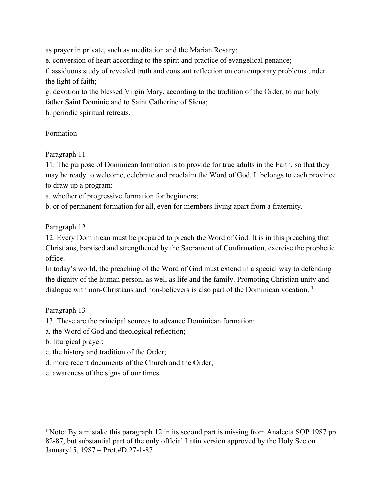as prayer in private, such as meditation and the Marian Rosary;

e. conversion of heart according to the spirit and practice of evangelical penance;

f. assiduous study of revealed truth and constant reflection on contemporary problems under the light of faith;

g. devotion to the blessed Virgin Mary, according to the tradition of the Order, to our holy father Saint Dominic and to Saint Catherine of Siena;

h. periodic spiritual retreats.

#### Formation

Paragraph 11

11. The purpose of Dominican formation is to provide for true adults in the Faith, so that they may be ready to welcome, celebrate and proclaim the Word of God. It belongs to each province to draw up a program:

a. whether of progressive formation for beginners;

b. or of permanent formation for all, even for members living apart from a fraternity.

Paragraph 12

12. Every Dominican must be prepared to preach the Word of God. It is in this preaching that Christians, baptised and strengthened by the Sacrament of Confirmation, exercise the prophetic office.

In today's world, the preaching of the Word of God must extend in a special way to defending the dignity of the human person, as well as life and the family. Promoting Christian unity and dialogue with non-Christians and non-believers is also part of the Dominican vocation. **<sup>1</sup>**

Paragraph 13

13. These are the principal sources to advance Dominican formation:

a. the Word of God and theological reflection;

b. liturgical prayer;

- c. the history and tradition of the Order;
- d. more recent documents of the Church and the Order;
- e. awareness of the signs of our times.

<sup>1</sup> Note: By a mistake this paragraph 12 in its second part is missing from Analecta SOP 1987 pp. 82-87, but substantial part of the only official Latin version approved by the Holy See on January15, 1987 – Prot.#D.27-1-87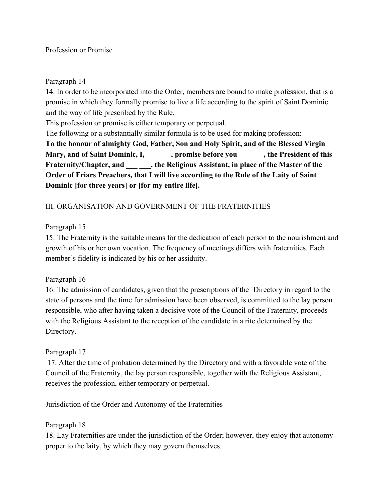#### Paragraph 14

14. In order to be incorporated into the Order, members are bound to make profession, that is a promise in which they formally promise to live a life according to the spirit of Saint Dominic and the way of life prescribed by the Rule.

This profession or promise is either temporary or perpetual.

The following or a substantially similar formula is to be used for making profession: **To the honour of almighty God, Father, Son and Holy Spirit, and of the Blessed Virgin** Mary, and of Saint Dominic, I, \_\_\_\_\_\_, promise before you \_\_\_\_\_\_, the President of this **Fraternity/Chapter, and \_\_\_ \_\_\_, the Religious Assistant, in place of the Master of the Order of Friars Preachers, that I will live according to the Rule of the Laity of Saint**

# **Dominic [for three years] or [for my entire life].**

## III. ORGANISATION AND GOVERNMENT OF THE FRATERNITIES

#### Paragraph 15

15. The Fraternity is the suitable means for the dedication of each person to the nourishment and growth of his or her own vocation. The frequency of meetings differs with fraternities. Each member's fidelity is indicated by his or her assiduity.

#### Paragraph 16

16. The admission of candidates, given that the prescriptions of the `Directory in regard to the state of persons and the time for admission have been observed, is committed to the lay person responsible, who after having taken a decisive vote of the Council of the Fraternity, proceeds with the Religious Assistant to the reception of the candidate in a rite determined by the Directory.

## Paragraph 17

 17. After the time of probation determined by the Directory and with a favorable vote of the Council of the Fraternity, the lay person responsible, together with the Religious Assistant, receives the profession, either temporary or perpetual.

Jurisdiction of the Order and Autonomy of the Fraternities

## Paragraph 18

18. Lay Fraternities are under the jurisdiction of the Order; however, they enjoy that autonomy proper to the laity, by which they may govern themselves.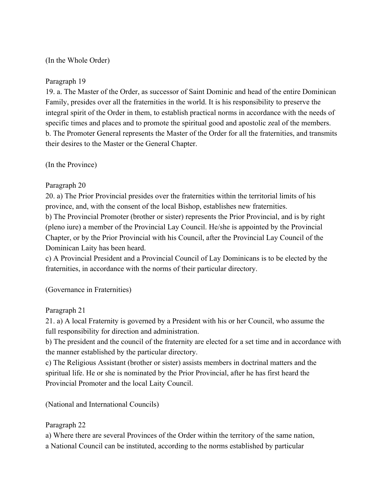#### (In the Whole Order)

#### Paragraph 19

19. a. The Master of the Order, as successor of Saint Dominic and head of the entire Dominican Family, presides over all the fraternities in the world. It is his responsibility to preserve the integral spirit of the Order in them, to establish practical norms in accordance with the needs of specific times and places and to promote the spiritual good and apostolic zeal of the members. b. The Promoter General represents the Master of the Order for all the fraternities, and transmits their desires to the Master or the General Chapter.

(In the Province)

## Paragraph 20

20. a) The Prior Provincial presides over the fraternities within the territorial limits of his province, and, with the consent of the local Bishop, establishes new fraternities. b) The Provincial Promoter (brother or sister) represents the Prior Provincial, and is by right (pleno iure) a member of the Provincial Lay Council. He/she is appointed by the Provincial Chapter, or by the Prior Provincial with his Council, after the Provincial Lay Council of the Dominican Laity has been heard.

c) A Provincial President and a Provincial Council of Lay Dominicans is to be elected by the fraternities, in accordance with the norms of their particular directory.

(Governance in Fraternities)

## Paragraph 21

21. a) A local Fraternity is governed by a President with his or her Council, who assume the full responsibility for direction and administration.

b) The president and the council of the fraternity are elected for a set time and in accordance with the manner established by the particular directory.

c) The Religious Assistant (brother or sister) assists members in doctrinal matters and the spiritual life. He or she is nominated by the Prior Provincial, after he has first heard the Provincial Promoter and the local Laity Council.

(National and International Councils)

## Paragraph 22

a) Where there are several Provinces of the Order within the territory of the same nation, a National Council can be instituted, according to the norms established by particular